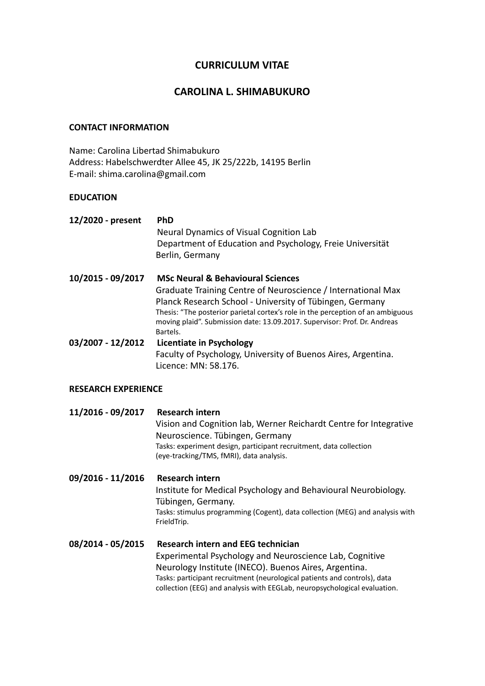# **CURRICULUM VITAE**

# **CAROLINA L. SHIMABUKURO**

### **CONTACT INFORMATION**

Name: Carolina Libertad Shimabukuro Address: Habelschwerdter Allee 45, JK 25/222b, 14195 Berlin E-mail: shima.carolina@gmail.com

### **EDUCATION**

| 12/2020 - present | <b>PhD</b><br>Neural Dynamics of Visual Cognition Lab<br>Department of Education and Psychology, Freie Universität<br>Berlin, Germany                                                                                                                                                                                                                |
|-------------------|------------------------------------------------------------------------------------------------------------------------------------------------------------------------------------------------------------------------------------------------------------------------------------------------------------------------------------------------------|
| 10/2015 - 09/2017 | <b>MSc Neural &amp; Behavioural Sciences</b><br>Graduate Training Centre of Neuroscience / International Max<br>Planck Research School - University of Tübingen, Germany<br>Thesis: "The posterior parietal cortex's role in the perception of an ambiguous<br>moving plaid". Submission date: 13.09.2017. Supervisor: Prof. Dr. Andreas<br>Bartels. |
| 03/2007 - 12/2012 | Licentiate in Psychology<br>Faculty of Psychology, University of Buenos Aires, Argentina.<br>Licence: MN: 58.176.                                                                                                                                                                                                                                    |

#### **RESEARCH EXPERIENCE**

**11/2016 - 09/2017 Research intern** Vision and Cognition lab, Werner Reichardt Centre for Integrative Neuroscience. Tübingen, Germany Tasks: experiment design, participant recruitment, data collection (eye-tracking/TMS, fMRI), data analysis.

**09/2016 - 11/2016 Research intern** Institute for Medical Psychology and Behavioural Neurobiology. Tübingen, Germany. Tasks: stimulus programming (Cogent), data collection (MEG) and analysis with FrieldTrip. **08/2014 - 05/2015 Research intern and EEG technician**

Experimental Psychology and Neuroscience Lab, Cognitive Neurology Institute (INECO). Buenos Aires, Argentina. Tasks: participant recruitment (neurological patients and controls), data collection (EEG) and analysis with EEGLab, neuropsychological evaluation.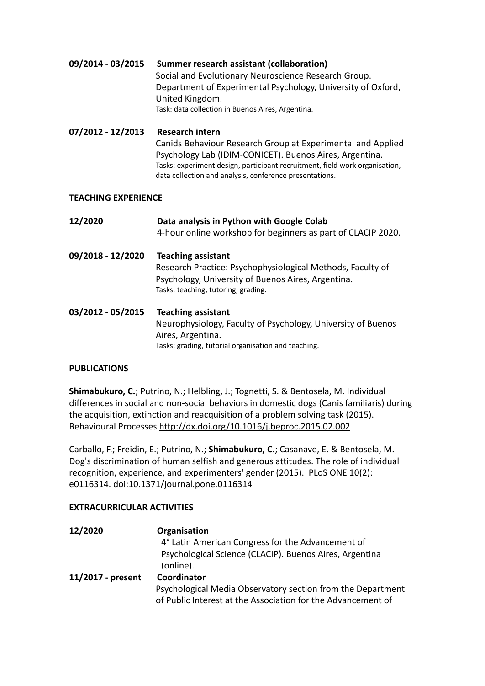| 09/2014 - 03/2015 | Summer research assistant (collaboration)<br>Social and Evolutionary Neuroscience Research Group.<br>Department of Experimental Psychology, University of Oxford,<br>United Kingdom.<br>Task: data collection in Buenos Aires, Argentina.                                                  |
|-------------------|--------------------------------------------------------------------------------------------------------------------------------------------------------------------------------------------------------------------------------------------------------------------------------------------|
| 07/2012 - 12/2013 | <b>Research intern</b><br>Canids Behaviour Research Group at Experimental and Applied<br>Psychology Lab (IDIM-CONICET). Buenos Aires, Argentina.<br>Tasks: experiment design, participant recruitment, field work organisation,<br>data collection and analysis, conference presentations. |

### **TEACHING EXPERIENCE**

| 12/2020           | Data analysis in Python with Google Colab<br>4-hour online workshop for beginners as part of CLACIP 2020.                                                                            |
|-------------------|--------------------------------------------------------------------------------------------------------------------------------------------------------------------------------------|
| 09/2018 - 12/2020 | <b>Teaching assistant</b><br>Research Practice: Psychophysiological Methods, Faculty of<br>Psychology, University of Buenos Aires, Argentina.<br>Tasks: teaching, tutoring, grading. |
| 03/2012 - 05/2015 | <b>Teaching assistant</b><br>Neurophysiology, Faculty of Psychology, University of Buenos<br>Aires, Argentina.<br>Tasks: grading, tutorial organisation and teaching.                |

## **PUBLICATIONS**

**Shimabukuro, C.**; Putrino, N.; Helbling, J.; Tognetti, S. & Bentosela, M. Individual differences in social and non-social behaviors in domestic dogs (Canis familiaris) during the acquisition, extinction and reacquisition of a problem solving task (2015). Behavioural Processes <http://dx.doi.org/10.1016/j.beproc.2015.02.002>

Carballo, F.; Freidin, E.; Putrino, N.; **Shimabukuro, C.**; Casanave, E. & Bentosela, M. Dog's discrimination of human selfish and generous attitudes. The role of individual recognition, experience, and experimenters' gender (2015). PLoS ONE 10(2): e0116314. doi:10.1371/journal.pone.0116314

## **EXTRACURRICULAR ACTIVITIES**

| Organisation                                                                                                                |
|-----------------------------------------------------------------------------------------------------------------------------|
| 4° Latin American Congress for the Advancement of                                                                           |
| Psychological Science (CLACIP). Buenos Aires, Argentina                                                                     |
| (online).                                                                                                                   |
| Coordinator                                                                                                                 |
| Psychological Media Observatory section from the Department<br>of Public Interest at the Association for the Advancement of |
|                                                                                                                             |